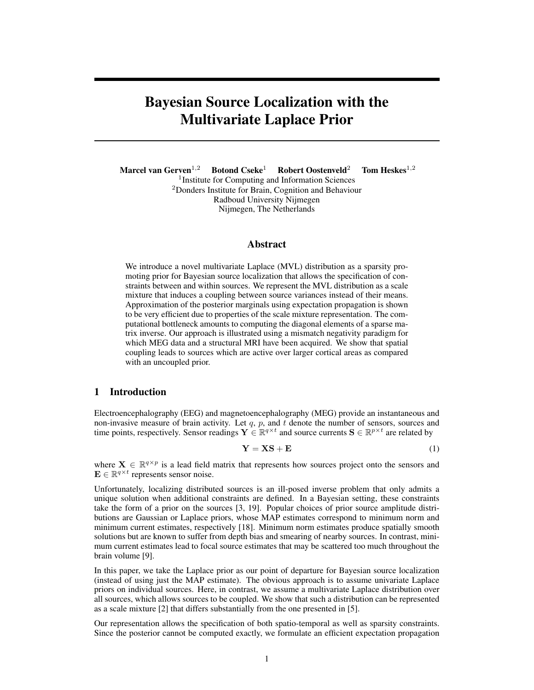# Bayesian Source Localization with the Multivariate Laplace Prior

Marcel van Gerven<sup>1,2</sup> Botond Cseke<sup>1</sup> Robert Oostenveld<sup>2</sup> Tom Heskes<sup>1,2</sup> <sup>1</sup> Institute for Computing and Information Sciences <sup>2</sup>Donders Institute for Brain, Cognition and Behaviour Radboud University Nijmegen Nijmegen, The Netherlands

# Abstract

We introduce a novel multivariate Laplace (MVL) distribution as a sparsity promoting prior for Bayesian source localization that allows the specification of constraints between and within sources. We represent the MVL distribution as a scale mixture that induces a coupling between source variances instead of their means. Approximation of the posterior marginals using expectation propagation is shown to be very efficient due to properties of the scale mixture representation. The computational bottleneck amounts to computing the diagonal elements of a sparse matrix inverse. Our approach is illustrated using a mismatch negativity paradigm for which MEG data and a structural MRI have been acquired. We show that spatial coupling leads to sources which are active over larger cortical areas as compared with an uncoupled prior.

#### 1 Introduction

Electroencephalography (EEG) and magnetoencephalography (MEG) provide an instantaneous and non-invasive measure of brain activity. Let  $q$ ,  $p$ , and  $t$  denote the number of sensors, sources and time points, respectively. Sensor readings  $Y \in \mathbb{R}^{q \times t}$  and source currents  $S \in \mathbb{R}^{p \times t}$  are related by

$$
Y = XS + E \tag{1}
$$

where  $X \in \mathbb{R}^{q \times p}$  is a lead field matrix that represents how sources project onto the sensors and  $\mathbf{E} \in \mathbb{R}^{q \times t}$  represents sensor noise.

Unfortunately, localizing distributed sources is an ill-posed inverse problem that only admits a unique solution when additional constraints are defined. In a Bayesian setting, these constraints take the form of a prior on the sources [3, 19]. Popular choices of prior source amplitude distributions are Gaussian or Laplace priors, whose MAP estimates correspond to minimum norm and minimum current estimates, respectively [18]. Minimum norm estimates produce spatially smooth solutions but are known to suffer from depth bias and smearing of nearby sources. In contrast, minimum current estimates lead to focal source estimates that may be scattered too much throughout the brain volume [9].

In this paper, we take the Laplace prior as our point of departure for Bayesian source localization (instead of using just the MAP estimate). The obvious approach is to assume univariate Laplace priors on individual sources. Here, in contrast, we assume a multivariate Laplace distribution over all sources, which allows sources to be coupled. We show that such a distribution can be represented as a scale mixture [2] that differs substantially from the one presented in [5].

Our representation allows the specification of both spatio-temporal as well as sparsity constraints. Since the posterior cannot be computed exactly, we formulate an efficient expectation propagation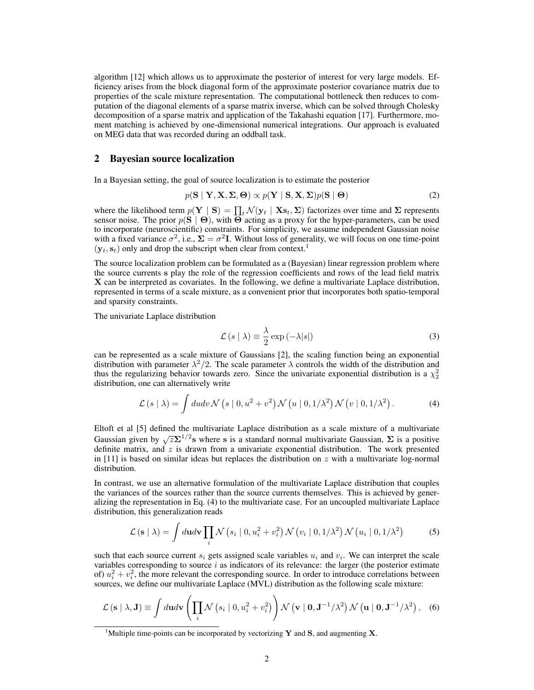algorithm [12] which allows us to approximate the posterior of interest for very large models. Efficiency arises from the block diagonal form of the approximate posterior covariance matrix due to properties of the scale mixture representation. The computational bottleneck then reduces to computation of the diagonal elements of a sparse matrix inverse, which can be solved through Cholesky decomposition of a sparse matrix and application of the Takahashi equation [17]. Furthermore, moment matching is achieved by one-dimensional numerical integrations. Our approach is evaluated on MEG data that was recorded during an oddball task.

#### 2 Bayesian source localization

In a Bayesian setting, the goal of source localization is to estimate the posterior

$$
p(\mathbf{S} \mid \mathbf{Y}, \mathbf{X}, \mathbf{\Sigma}, \mathbf{\Theta}) \propto p(\mathbf{Y} \mid \mathbf{S}, \mathbf{X}, \mathbf{\Sigma}) p(\mathbf{S} \mid \mathbf{\Theta})
$$
\n(2)

where the likelihood term  $p(Y \mid S) = \prod_t \mathcal{N}(y_t \mid Xs_t, \Sigma)$  factorizes over time and  $\Sigma$  represents sensor noise. The prior  $p(S | \Theta)$ , with  $\Theta$  acting as a proxy for the hyper-parameters, can be used to incorporate (neuroscientific) constraints. For simplicity, we assume independent Gaussian noise with a fixed variance  $\sigma^2$ , i.e.,  $\Sigma = \sigma^2 I$ . Without loss of generality, we will focus on one time-point  $(\mathbf{y}_t, \mathbf{s}_t)$  only and drop the subscript when clear from context.<sup>1</sup>

The source localization problem can be formulated as a (Bayesian) linear regression problem where the source currents s play the role of the regression coefficients and rows of the lead field matrix X can be interpreted as covariates. In the following, we define a multivariate Laplace distribution, represented in terms of a scale mixture, as a convenient prior that incorporates both spatio-temporal and sparsity constraints.

The univariate Laplace distribution

$$
\mathcal{L}(s \mid \lambda) \equiv \frac{\lambda}{2} \exp(-\lambda|s|)
$$
 (3)

can be represented as a scale mixture of Gaussians [2], the scaling function being an exponential distribution with parameter  $\lambda^2/2$ . The scale parameter  $\lambda$  controls the width of the distribution and thus the regularizing behavior towards zero. Since the univariate exponential distribution is a  $\chi^2$ distribution, one can alternatively write

$$
\mathcal{L}(s \mid \lambda) = \int du dv \mathcal{N}(s \mid 0, u^2 + v^2) \mathcal{N}(u \mid 0, 1/\lambda^2) \mathcal{N}(v \mid 0, 1/\lambda^2).
$$
 (4)

Eltoft et al [5] defined the multivariate Laplace distribution as a scale mixture of a multivariate Gaussian given by  $\sqrt{z}\Sigma^{1/2}$ s where s is a standard normal multivariate Gaussian,  $\Sigma$  is a positive definite matrix, and  $z$  is drawn from a univariate exponential distribution. The work presented in  $[11]$  is based on similar ideas but replaces the distribution on z with a multivariate log-normal distribution.

In contrast, we use an alternative formulation of the multivariate Laplace distribution that couples the variances of the sources rather than the source currents themselves. This is achieved by generalizing the representation in Eq. (4) to the multivariate case. For an uncoupled multivariate Laplace distribution, this generalization reads

$$
\mathcal{L}\left(\mathbf{s} \mid \lambda\right) = \int d\mathbf{u}d\mathbf{v} \prod_{i} \mathcal{N}\left(s_{i} \mid 0, u_{i}^{2} + v_{i}^{2}\right) \mathcal{N}\left(v_{i} \mid 0, 1/\lambda^{2}\right) \mathcal{N}\left(u_{i} \mid 0, 1/\lambda^{2}\right)
$$
(5)

such that each source current  $s_i$  gets assigned scale variables  $u_i$  and  $v_i$ . We can interpret the scale variables corresponding to source  $i$  as indicators of its relevance: the larger (the posterior estimate of)  $u_i^2 + v_i^2$ , the more relevant the corresponding source. In order to introduce correlations between sources, we define our multivariate Laplace (MVL) distribution as the following scale mixture:

$$
\mathcal{L}\left(\mathbf{s} \mid \lambda,\mathbf{J}\right) \equiv \int d\mathbf{u}d\mathbf{v} \left(\prod_{i} \mathcal{N}\left(s_{i} \mid 0,u_{i}^{2}+v_{i}^{2}\right)\right) \mathcal{N}\left(\mathbf{v} \mid \mathbf{0},\mathbf{J}^{-1}/\lambda^{2}\right) \mathcal{N}\left(\mathbf{u} \mid \mathbf{0},\mathbf{J}^{-1}/\lambda^{2}\right),\quad(6)
$$

<sup>&</sup>lt;sup>1</sup>Multiple time-points can be incorporated by vectorizing Y and S, and augmenting X.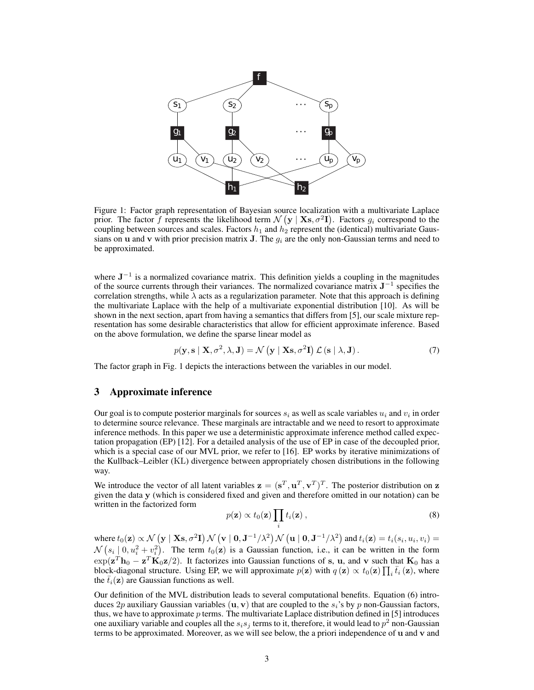

Figure 1: Factor graph representation of Bayesian source localization with a multivariate Laplace prior. The factor f represents the likelihood term  $\mathcal{N}(\mathbf{y} | \mathbf{X}\mathbf{s}, \sigma^2\mathbf{I})$ . Factors  $g_i$  correspond to the coupling between sources and scales. Factors  $h_1$  and  $h_2$  represent the (identical) multivariate Gaussians on **u** and **v** with prior precision matrix **J**. The  $g_i$  are the only non-Gaussian terms and need to be approximated.

where  $J^{-1}$  is a normalized covariance matrix. This definition yields a coupling in the magnitudes of the source currents through their variances. The normalized covariance matrix  $J^{-1}$  specifies the correlation strengths, while  $\lambda$  acts as a regularization parameter. Note that this approach is defining the multivariate Laplace with the help of a multivariate exponential distribution [10]. As will be shown in the next section, apart from having a semantics that differs from [5], our scale mixture representation has some desirable characteristics that allow for efficient approximate inference. Based on the above formulation, we define the sparse linear model as

$$
p(\mathbf{y}, \mathbf{s} \mid \mathbf{X}, \sigma^2, \lambda, \mathbf{J}) = \mathcal{N}(\mathbf{y} \mid \mathbf{X}\mathbf{s}, \sigma^2 \mathbf{I}) \mathcal{L}(\mathbf{s} \mid \lambda, \mathbf{J}).
$$
 (7)

The factor graph in Fig. 1 depicts the interactions between the variables in our model.

#### 3 Approximate inference

Our goal is to compute posterior marginals for sources  $s_i$  as well as scale variables  $u_i$  and  $v_i$  in order to determine source relevance. These marginals are intractable and we need to resort to approximate inference methods. In this paper we use a deterministic approximate inference method called expectation propagation (EP) [12]. For a detailed analysis of the use of EP in case of the decoupled prior, which is a special case of our MVL prior, we refer to [16]. EP works by iterative minimizations of the Kullback–Leibler (KL) divergence between appropriately chosen distributions in the following way.

We introduce the vector of all latent variables  $\mathbf{z} = (\mathbf{s}^T, \mathbf{u}^T, \mathbf{v}^T)^T$ . The posterior distribution on z given the data y (which is considered fixed and given and therefore omitted in our notation) can be written in the factorized form

$$
p(\mathbf{z}) \propto t_0(\mathbf{z}) \prod_i t_i(\mathbf{z}), \qquad (8)
$$

where  $t_0(\mathbf{z}) \propto \mathcal{N}(\mathbf{y} \mid \mathbf{X}\mathbf{s}, \sigma^2\mathbf{I}) \, \mathcal{N}(\mathbf{v} \mid \mathbf{0}, \mathbf{J}^{-1}/\lambda^2) \, \mathcal{N}(\mathbf{u} \mid \mathbf{0}, \mathbf{J}^{-1}/\lambda^2)$  and  $t_i(\mathbf{z}) = t_i(s_i, u_i, v_i) =$  $\mathcal{N}(s_i \mid 0, u_i^2 + v_i^2)$ . The term  $t_0(\mathbf{z})$  is a Gaussian function, i.e., it can be written in the form  $\exp(\mathbf{z}^T \mathbf{h}_0 - \mathbf{z}^T \mathbf{K}_0 \mathbf{z}/2)$ . It factorizes into Gaussian functions of s, u, and v such that  $\mathbf{K}_0$  has a block-diagonal structure. Using EP, we will approximate  $p(z)$  with  $q(z) \propto t_0(z) \prod_i \bar{t}_i(z)$ , where the  $\bar{t}_i(\mathbf{z})$  are Gaussian functions as well.

Our definition of the MVL distribution leads to several computational benefits. Equation (6) introduces 2p auxiliary Gaussian variables  $(\mathbf{u}, \mathbf{v})$  that are coupled to the  $s_i$ 's by p non-Gaussian factors, thus, we have to approximate p terms. The multivariate Laplace distribution defined in [5] introduces one auxiliary variable and couples all the  $s_i s_j$  terms to it, therefore, it would lead to  $p^2$  non-Gaussian terms to be approximated. Moreover, as we will see below, the a priori independence of u and v and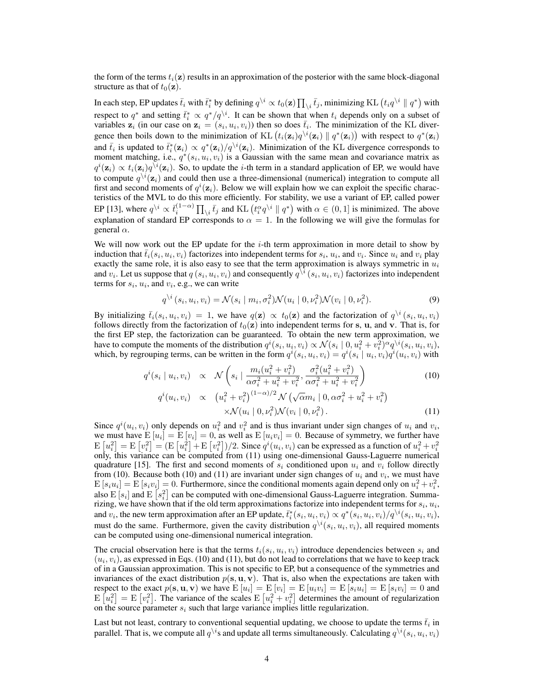the form of the terms  $t_i(z)$  results in an approximation of the posterior with the same block-diagonal structure as that of  $t_0(\mathbf{z})$ .

In each step, EP updates  $\bar t_i$  with  $\bar t_i^*$  by defining  $q^{\backslash i} \propto t_0({\bf z}) \prod_{\backslash i} \bar t_j$ , minimizing KL  $\left(t_i q^{\backslash i} \parallel q^*\right)$  with respect to  $q^*$  and setting  $\bar{t}_i^* \propto q^*/q^{\backslash i}$ . It can be shown that when  $t_i$  depends only on a subset of variables  $\mathbf{z}_i$  (in our case on  $\mathbf{z}_i = (s_i, u_i, v_i)$ ) then so does  $\bar{t}_i$ . The minimization of the KL divergence then boils down to the minimization of KL  $(t_i(\mathbf{z}_i)q^{\setminus i}(\mathbf{z}_i) \parallel q^*(\mathbf{z}_i))$  with respect to  $q^*(\mathbf{z}_i)$ and  $\bar{t}_i$  is updated to  $\bar{t}_i^*(\mathbf{z}_i) \propto q^*(\mathbf{z}_i)/q^{\backslash i}(\mathbf{z}_i)$ . Minimization of the KL divergence corresponds to moment matching, i.e.,  $q^*(s_i, u_i, v_i)$  is a Gaussian with the same mean and covariance matrix as  $q^i(\mathbf{z}_i) \propto t_i(\mathbf{z}_i)q^{\setminus i}(\mathbf{z}_i)$ . So, to update the *i*-th term in a standard application of EP, we would have to compute  $q^{\setminus i}(\mathbf{z}_i)$  and could then use a three-dimensional (numerical) integration to compute all first and second moments of  $q^{i}(\mathbf{z}_{i})$ . Below we will explain how we can exploit the specific characteristics of the MVL to do this more efficiently. For stability, we use a variant of EP, called power EP [13], where  $q^{\setminus i} \propto \bar{t}_i^{(1-\alpha)} \prod_{\setminus i} \bar{t}_j$  and KL  $(t_i^{\alpha} q^{\setminus i} \parallel q^*)$  with  $\alpha \in (0, 1]$  is minimized. The above explanation of standard EP corresponds to  $\alpha = 1$ . In the following we will give the formulas for general  $\alpha$ .

We will now work out the EP update for the  $i$ -th term approximation in more detail to show by induction that  $\bar{t}_i(s_i, u_i, v_i)$  factorizes into independent terms for  $s_i$ ,  $u_i$ , and  $v_i$ . Since  $u_i$  and  $v_i$  play exactly the same role, it is also easy to see that the term approximation is always symmetric in  $u_i$ and  $v_i$ . Let us suppose that  $q(s_i, u_i, v_i)$  and consequently  $q^{\setminus i}(s_i, u_i, v_i)$  factorizes into independent terms for  $s_i$ ,  $u_i$ , and  $v_i$ , e.g., we can write

$$
q^{\setminus i}(s_i, u_i, v_i) = \mathcal{N}(s_i \mid m_i, \sigma_i^2) \mathcal{N}(u_i \mid 0, \nu_i^2) \mathcal{N}(v_i \mid 0, \nu_i^2).
$$
 (9)

By initializing  $\bar{t}_i(s_i, u_i, v_i) = 1$ , we have  $q(\mathbf{z}) \propto t_0(\mathbf{z})$  and the factorization of  $q^{\backslash i}(s_i, u_i, v_i)$ follows directly from the factorization of  $t_0(z)$  into independent terms for s, u, and v. That is, for the first EP step, the factorization can be guaranteed. To obtain the new term approximation, we have to compute the moments of the distribution  $q^{i}(s_i, u_i, v_i) \propto \mathcal{N}(s_i \mid 0, u_i^2 + v_i^2)^{\alpha} q^{\backslash i}(s_i, u_i, v_i)$ , which, by regrouping terms, can be written in the form  $q^{i}(s_i, u_i, v_i) = q^{i}(s_i | u_i, v_i)q^{i}(u_i, v_i)$  with

$$
q^{i}(s_{i} | u_{i}, v_{i}) \propto \mathcal{N}\left(s_{i} | \frac{m_{i}(u_{i}^{2} + v_{i}^{2})}{\alpha \sigma_{i}^{2} + u_{i}^{2} + v_{i}^{2}}, \frac{\sigma_{i}^{2}(u_{i}^{2} + v_{i}^{2})}{\alpha \sigma_{i}^{2} + u_{i}^{2} + v_{i}^{2}}\right)
$$
\n
$$
q^{i}(u_{i}, v_{i}) \propto (u_{i}^{2} + v_{i}^{2})^{(1-\alpha)/2} \mathcal{N}\left(\sqrt{\alpha} m_{i} | 0, \alpha \sigma_{i}^{2} + u_{i}^{2} + v_{i}^{2}\right)
$$
\n
$$
\times \mathcal{N}(u_{i} | 0, v_{i}^{2}) \mathcal{N}(v_{i} | 0, v_{i}^{2}). \tag{11}
$$

Since  $q^{i}(u_i, v_i)$  only depends on  $u_i^2$  and  $v_i^2$  and is thus invariant under sign changes of  $u_i$  and  $v_i$ , we must have  $E[u_i] = E[v_i] = 0$ , as well as  $E[u_i v_i] = 0$ . Because of symmetry, we further have  $E[u_i^2] = E[v_i^2] = (E[u_i^2] + E[v_i^2])/2$ . Since  $q^i(u_i, v_i)$  can be expressed as a function of  $u_i^2 + v_i^2$  only, this variance can be computed from (11) using one-dimensional Gauss-Laguerre numerical quadrature [15]. The first and second moments of  $s_i$  conditioned upon  $u_i$  and  $v_i$  follow directly from (10). Because both (10) and (11) are invariant under sign changes of  $u_i$  and  $v_i$ , we must have  $E[s_i u_i] = E[s_i v_i] = 0$ . Furthermore, since the conditional moments again depend only on  $u_i^2 + v_i^2$ , also E  $[s_i]$  and E  $[s_i^2]$  can be computed with one-dimensional Gauss-Laguerre integration. Summarizing, we have shown that if the old term approximations factorize into independent terms for  $s_i, u_i$ , and  $v_i$ , the new term approximation after an EP update,  $\bar{t}_i^*(s_i, u_i, v_i) \propto q^*(s_i, u_i, v_i)/q^{\backslash i}(s_i, u_i, v_i)$ , must do the same. Furthermore, given the cavity distribution  $q^{\setminus i}(s_i, u_i, v_i)$ , all required moments can be computed using one-dimensional numerical integration.

The crucial observation here is that the terms  $t_i(s_i, u_i, v_i)$  introduce dependencies between  $s_i$  and  $(u_i, v_i)$ , as expressed in Eqs. (10) and (11), but do not lead to correlations that we have to keep track of in a Gaussian approximation. This is not specific to EP, but a consequence of the symmetries and invariances of the exact distribution  $p(s, u, v)$ . That is, also when the expectations are taken with respect to the exact  $p(\mathbf{s}, \mathbf{u}, \mathbf{v})$  we have  $\mathrm{E}\left[u_i\right] = \mathrm{E}\left[v_i\right] = \mathrm{E}\left[u_i v_i\right] = \mathrm{E}\left[s_i u_i\right] = \mathrm{E}\left[s_i v_i\right] = 0$  and  $E[u_i^2] = E[v_i^2]$ . The variance of the scales  $E[u_i^2 + v_i^2]$  determines the amount of regularization on the source parameter  $s_i$  such that large variance implies little regularization.

Last but not least, contrary to conventional sequential updating, we choose to update the terms  $\bar{t}_i$  in parallel. That is, we compute all  $q^{\backslash i}$ s and update all terms simultaneously. Calculating  $q^{\backslash i}(s_i, u_i, v_i)$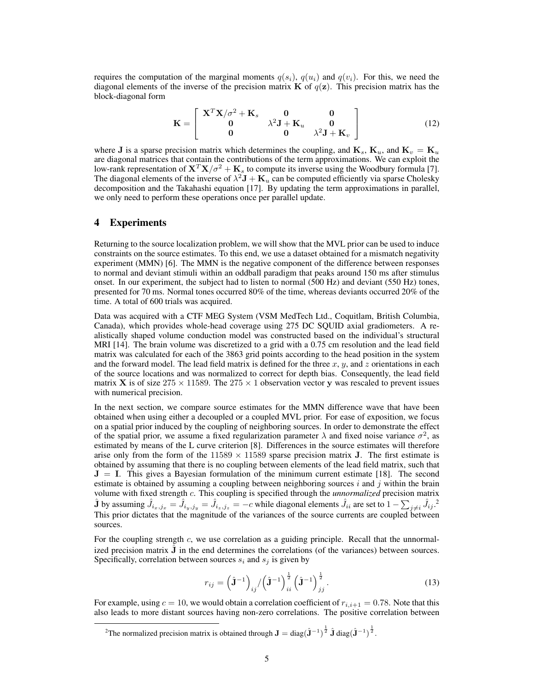requires the computation of the marginal moments  $q(s_i)$ ,  $q(u_i)$  and  $q(v_i)$ . For this, we need the diagonal elements of the inverse of the precision matrix **K** of  $q(z)$ . This precision matrix has the block-diagonal form

$$
\mathbf{K} = \left[ \begin{array}{ccc} \mathbf{X}^T \mathbf{X} / \sigma^2 + \mathbf{K}_s & \mathbf{0} & \mathbf{0} \\ \mathbf{0} & \lambda^2 \mathbf{J} + \mathbf{K}_u & \mathbf{0} \\ \mathbf{0} & \mathbf{0} & \lambda^2 \mathbf{J} + \mathbf{K}_v \end{array} \right] \tag{12}
$$

where **J** is a sparse precision matrix which determines the coupling, and  $\mathbf{K}_s$ ,  $\mathbf{K}_u$ , and  $\mathbf{K}_v = \mathbf{K}_u$ are diagonal matrices that contain the contributions of the term approximations. We can exploit the low-rank representation of  $X^T X/\sigma^2 + K_s$  to compute its inverse using the Woodbury formula [7]. The diagonal elements of the inverse of  $\lambda^2 J + K_u$  can be computed efficiently via sparse Cholesky decomposition and the Takahashi equation [17]. By updating the term approximations in parallel, we only need to perform these operations once per parallel update.

#### 4 Experiments

Returning to the source localization problem, we will show that the MVL prior can be used to induce constraints on the source estimates. To this end, we use a dataset obtained for a mismatch negativity experiment (MMN) [6]. The MMN is the negative component of the difference between responses to normal and deviant stimuli within an oddball paradigm that peaks around 150 ms after stimulus onset. In our experiment, the subject had to listen to normal (500 Hz) and deviant (550 Hz) tones, presented for 70 ms. Normal tones occurred 80% of the time, whereas deviants occurred 20% of the time. A total of 600 trials was acquired.

Data was acquired with a CTF MEG System (VSM MedTech Ltd., Coquitlam, British Columbia, Canada), which provides whole-head coverage using 275 DC SQUID axial gradiometers. A realistically shaped volume conduction model was constructed based on the individual's structural MRI [14]. The brain volume was discretized to a grid with a 0.75 cm resolution and the lead field matrix was calculated for each of the 3863 grid points according to the head position in the system and the forward model. The lead field matrix is defined for the three  $x$ ,  $y$ , and  $z$  orientations in each of the source locations and was normalized to correct for depth bias. Consequently, the lead field matrix **X** is of size  $275 \times 11589$ . The  $275 \times 1$  observation vector y was rescaled to prevent issues with numerical precision.

In the next section, we compare source estimates for the MMN difference wave that have been obtained when using either a decoupled or a coupled MVL prior. For ease of exposition, we focus on a spatial prior induced by the coupling of neighboring sources. In order to demonstrate the effect of the spatial prior, we assume a fixed regularization parameter  $\lambda$  and fixed noise variance  $\sigma^2$ , as estimated by means of the L curve criterion [8]. Differences in the source estimates will therefore arise only from the form of the  $11589 \times 11589$  sparse precision matrix **J**. The first estimate is obtained by assuming that there is no coupling between elements of the lead field matrix, such that  $J = I$ . This gives a Bayesian formulation of the minimum current estimate [18]. The second estimate is obtained by assuming a coupling between neighboring sources  $i$  and  $j$  within the brain volume with fixed strength c. This coupling is specified through the *unnormalized* precision matrix  $\hat{\mathbf{J}}$  by assuming  $\hat{J}_{i_x,j_x} = \hat{J}_{i_y,j_y} = \hat{J}_{i_z,j_z} = -c$  while diagonal elements  $\hat{J}_{ii}$  are set to  $1 - \sum_{j \neq i} \hat{J}_{ij}$ . This prior dictates that the magnitude of the variances of the source currents are coupled between sources.

For the coupling strength c, we use correlation as a guiding principle. Recall that the unnormalized precision matrix  $\hat{\mathbf{J}}$  in the end determines the correlations (of the variances) between sources. Specifically, correlation between sources  $s_i$  and  $s_j$  is given by

$$
r_{ij} = \left(\hat{\mathbf{J}}^{-1}\right)_{ij} / \left(\hat{\mathbf{J}}^{-1}\right)_{ii}^{\frac{1}{2}} \left(\hat{\mathbf{J}}^{-1}\right)_{jj}^{\frac{1}{2}}.
$$
 (13)

For example, using  $c = 10$ , we would obtain a correlation coefficient of  $r_{i,i+1} = 0.78$ . Note that this also leads to more distant sources having non-zero correlations. The positive correlation between

<sup>2</sup>The normalized precision matrix is obtained through  $J = diag(\hat{J}^{-1})^{\frac{1}{2}} \hat{J} diag(\hat{J}^{-1})^{\frac{1}{2}}$ .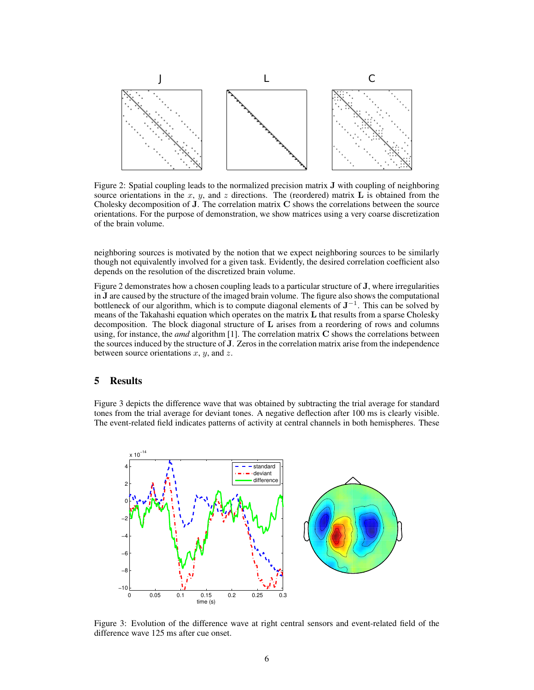

Figure 2: Spatial coupling leads to the normalized precision matrix J with coupling of neighboring source orientations in the x, y, and z directions. The (reordered) matrix L is obtained from the Cholesky decomposition of J. The correlation matrix C shows the correlations between the source orientations. For the purpose of demonstration, we show matrices using a very coarse discretization of the brain volume.

neighboring sources is motivated by the notion that we expect neighboring sources to be similarly though not equivalently involved for a given task. Evidently, the desired correlation coefficient also depends on the resolution of the discretized brain volume.

Figure 2 demonstrates how a chosen coupling leads to a particular structure of J, where irregularities in J are caused by the structure of the imaged brain volume. The figure also shows the computational bottleneck of our algorithm, which is to compute diagonal elements of  $J^{-1}$ . This can be solved by means of the Takahashi equation which operates on the matrix  $L$  that results from a sparse Cholesky decomposition. The block diagonal structure of  $L$  arises from a reordering of rows and columns using, for instance, the *amd* algorithm [1]. The correlation matrix C shows the correlations between the sources induced by the structure of J. Zeros in the correlation matrix arise from the independence between source orientations  $x$ ,  $y$ , and  $z$ .

### 5 Results

Figure 3 depicts the difference wave that was obtained by subtracting the trial average for standard tones from the trial average for deviant tones. A negative deflection after 100 ms is clearly visible. The event-related field indicates patterns of activity at central channels in both hemispheres. These



Figure 3: Evolution of the difference wave at right central sensors and event-related field of the difference wave 125 ms after cue onset.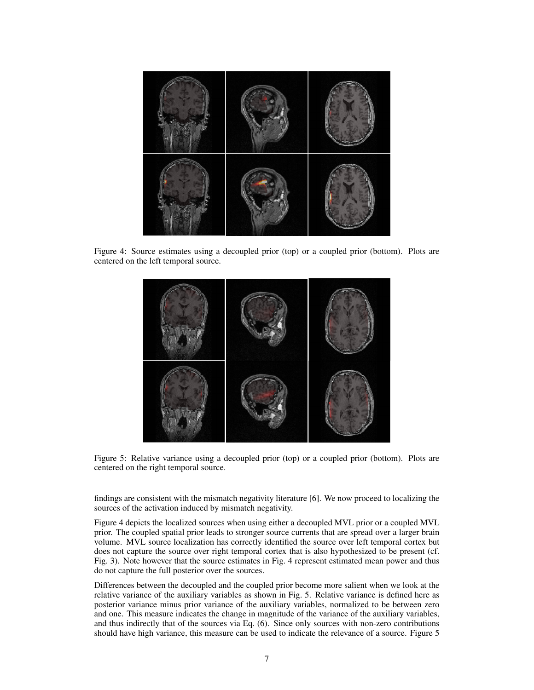

Figure 4: Source estimates using a decoupled prior (top) or a coupled prior (bottom). Plots are centered on the left temporal source.



Figure 5: Relative variance using a decoupled prior (top) or a coupled prior (bottom). Plots are centered on the right temporal source.

findings are consistent with the mismatch negativity literature [6]. We now proceed to localizing the sources of the activation induced by mismatch negativity.

Figure 4 depicts the localized sources when using either a decoupled MVL prior or a coupled MVL prior. The coupled spatial prior leads to stronger source currents that are spread over a larger brain volume. MVL source localization has correctly identified the source over left temporal cortex but does not capture the source over right temporal cortex that is also hypothesized to be present (cf. Fig. 3). Note however that the source estimates in Fig. 4 represent estimated mean power and thus do not capture the full posterior over the sources.

Differences between the decoupled and the coupled prior become more salient when we look at the relative variance of the auxiliary variables as shown in Fig. 5. Relative variance is defined here as posterior variance minus prior variance of the auxiliary variables, normalized to be between zero and one. This measure indicates the change in magnitude of the variance of the auxiliary variables, and thus indirectly that of the sources via Eq. (6). Since only sources with non-zero contributions should have high variance, this measure can be used to indicate the relevance of a source. Figure 5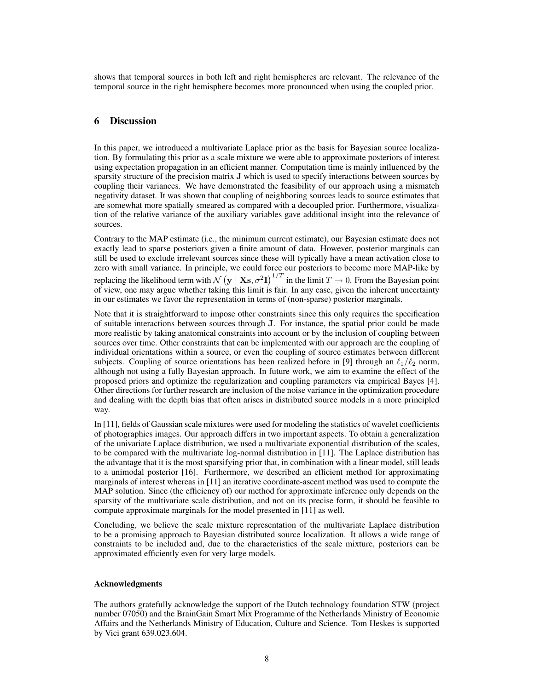shows that temporal sources in both left and right hemispheres are relevant. The relevance of the temporal source in the right hemisphere becomes more pronounced when using the coupled prior.

# 6 Discussion

In this paper, we introduced a multivariate Laplace prior as the basis for Bayesian source localization. By formulating this prior as a scale mixture we were able to approximate posteriors of interest using expectation propagation in an efficient manner. Computation time is mainly influenced by the sparsity structure of the precision matrix J which is used to specify interactions between sources by coupling their variances. We have demonstrated the feasibility of our approach using a mismatch negativity dataset. It was shown that coupling of neighboring sources leads to source estimates that are somewhat more spatially smeared as compared with a decoupled prior. Furthermore, visualization of the relative variance of the auxiliary variables gave additional insight into the relevance of sources.

Contrary to the MAP estimate (i.e., the minimum current estimate), our Bayesian estimate does not exactly lead to sparse posteriors given a finite amount of data. However, posterior marginals can still be used to exclude irrelevant sources since these will typically have a mean activation close to zero with small variance. In principle, we could force our posteriors to become more MAP-like by replacing the likelihood term with  $\mathcal{N}(\mathbf{y} \mid \mathbf{X}\mathbf{s}, \sigma^2 \mathbf{I})^{1/T}$  in the limit  $T \to 0$ . From the Bayesian point of view, one may argue whether taking this limit is fair. In any case, given the inherent uncertainty in our estimates we favor the representation in terms of (non-sparse) posterior marginals.

Note that it is straightforward to impose other constraints since this only requires the specification of suitable interactions between sources through J. For instance, the spatial prior could be made more realistic by taking anatomical constraints into account or by the inclusion of coupling between sources over time. Other constraints that can be implemented with our approach are the coupling of individual orientations within a source, or even the coupling of source estimates between different subjects. Coupling of source orientations has been realized before in [9] through an  $\ell_1/\ell_2$  norm, although not using a fully Bayesian approach. In future work, we aim to examine the effect of the proposed priors and optimize the regularization and coupling parameters via empirical Bayes [4]. Other directions for further research are inclusion of the noise variance in the optimization procedure and dealing with the depth bias that often arises in distributed source models in a more principled way.

In [11], fields of Gaussian scale mixtures were used for modeling the statistics of wavelet coefficients of photographics images. Our approach differs in two important aspects. To obtain a generalization of the univariate Laplace distribution, we used a multivariate exponential distribution of the scales, to be compared with the multivariate log-normal distribution in [11]. The Laplace distribution has the advantage that it is the most sparsifying prior that, in combination with a linear model, still leads to a unimodal posterior [16]. Furthermore, we described an efficient method for approximating marginals of interest whereas in [11] an iterative coordinate-ascent method was used to compute the MAP solution. Since (the efficiency of) our method for approximate inference only depends on the sparsity of the multivariate scale distribution, and not on its precise form, it should be feasible to compute approximate marginals for the model presented in [11] as well.

Concluding, we believe the scale mixture representation of the multivariate Laplace distribution to be a promising approach to Bayesian distributed source localization. It allows a wide range of constraints to be included and, due to the characteristics of the scale mixture, posteriors can be approximated efficiently even for very large models.

#### Acknowledgments

The authors gratefully acknowledge the support of the Dutch technology foundation STW (project number 07050) and the BrainGain Smart Mix Programme of the Netherlands Ministry of Economic Affairs and the Netherlands Ministry of Education, Culture and Science. Tom Heskes is supported by Vici grant 639.023.604.